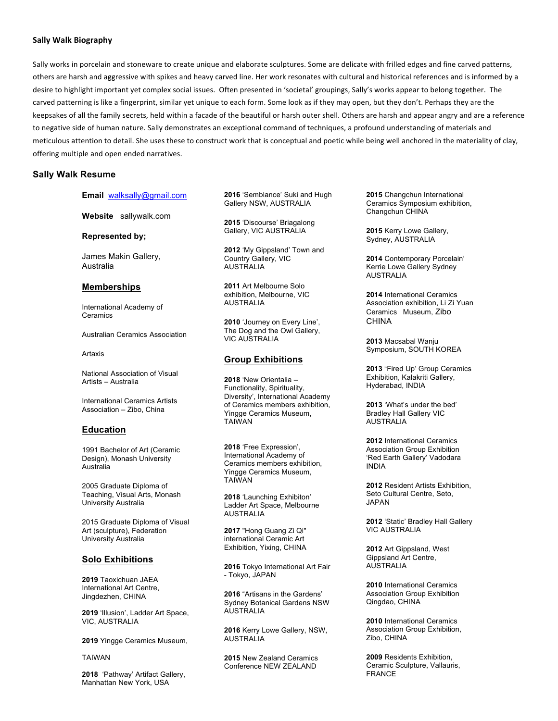## **Sally Walk Biography**

Sally works in porcelain and stoneware to create unique and elaborate sculptures. Some are delicate with frilled edges and fine carved patterns, others are harsh and aggressive with spikes and heavy carved line. Her work resonates with cultural and historical references and is informed by a desire to highlight important yet complex social issues. Often presented in 'societal' groupings, Sally's works appear to belong together. The carved patterning is like a fingerprint, similar yet unique to each form. Some look as if they may open, but they don't. Perhaps they are the keepsakes of all the family secrets, held within a facade of the beautiful or harsh outer shell. Others are harsh and appear angry and are a reference to negative side of human nature. Sally demonstrates an exceptional command of techniques, a profound understanding of materials and meticulous attention to detail. She uses these to construct work that is conceptual and poetic while being well anchored in the materiality of clay, offering multiple and open ended narratives.

## **Sally Walk Resume**

#### **Email** walksally@gmail.com

**Website** sallywalk.com

**Represented by;**

James Makin Gallery, Australia

#### **Memberships**

International Academy of Ceramics

Australian Ceramics Association

Artaxis

National Association of Visual Artists – Australia

International Ceramics Artists Association – Zibo, China

## **Education**

1991 Bachelor of Art (Ceramic Design), Monash University Australia

2005 Graduate Diploma of Teaching, Visual Arts, Monash University Australia

2015 Graduate Diploma of Visual Art (sculpture), Federation University Australia

## **Solo Exhibitions**

**2019** Taoxichuan JAEA International Art Centre, Jingdezhen, CHINA

**2019** 'Illusion', Ladder Art Space, VIC, AUSTRALIA

**2019** Yingge Ceramics Museum,

TAIWAN

**2018** 'Pathway' Artifact Gallery, Manhattan New York, USA

**2016** 'Semblance' Suki and Hugh Gallery NSW, AUSTRALIA

**2015** 'Discourse' Briagalong Gallery, VIC AUSTRALIA

**2012** 'My Gippsland' Town and Country Gallery, VIC AUSTRALIA

**2011** Art Melbourne Solo exhibition, Melbourne, VIC AUSTRALIA

**2010** 'Journey on Every Line', The Dog and the Owl Gallery, VIC AUSTRALIA

## **Group Exhibitions**

**2018** 'New Orientalia – Functionality, Spirituality, Diversity', International Academy of Ceramics members exhibition, Yingge Ceramics Museum, TAIWAN

**2018** 'Free Expression', International Academy of Ceramics members exhibition, Yingge Ceramics Museum, TAIWAN

**2018** 'Launching Exhibiton' Ladder Art Space, Melbourne AUSTRALIA

**2017** "Hong Guang Zi Qi" international Ceramic Art Exhibition, Yixing, CHINA

**2016** Tokyo International Art Fair - Tokyo, JAPAN

**2016** "Artisans in the Gardens' Sydney Botanical Gardens NSW **AUSTRALIA** 

**2016** Kerry Lowe Gallery, NSW, AUSTRALIA

**2015** New Zealand Ceramics Conference NEW ZEALAND

**2015** Changchun International Ceramics Symposium exhibition, Changchun CHINA

**2015** Kerry Lowe Gallery, Sydney, AUSTRALIA

**2014** Contemporary Porcelain' Kerrie Lowe Gallery Sydney AUSTRALIA

**2014** International Ceramics Association exhibition, Li Zi Yuan Ceramics Museum, Zibo CHINA

**2013** Macsabal Wanju Symposium, SOUTH KOREA

**2013** "Fired Up' Group Ceramics Exhibition, Kalakriti Gallery, Hyderabad, INDIA

**2013** 'What's under the bed' Bradley Hall Gallery VIC **AUSTRALIA** 

**2012** International Ceramics Association Group Exhibition 'Red Earth Gallery' Vadodara INDIA

**2012** Resident Artists Exhibition, Seto Cultural Centre, Seto, JAPAN

**2012** 'Static' Bradley Hall Gallery VIC AUSTRALIA

**2012** Art Gippsland, West Gippsland Art Centre, AUSTRALIA

**2010** International Ceramics Association Group Exhibition Qingdao, CHINA

**2010** International Ceramics Association Group Exhibition, Zibo, CHINA

**2009** Residents Exhibition, Ceramic Sculpture, Vallauris, FRANCE